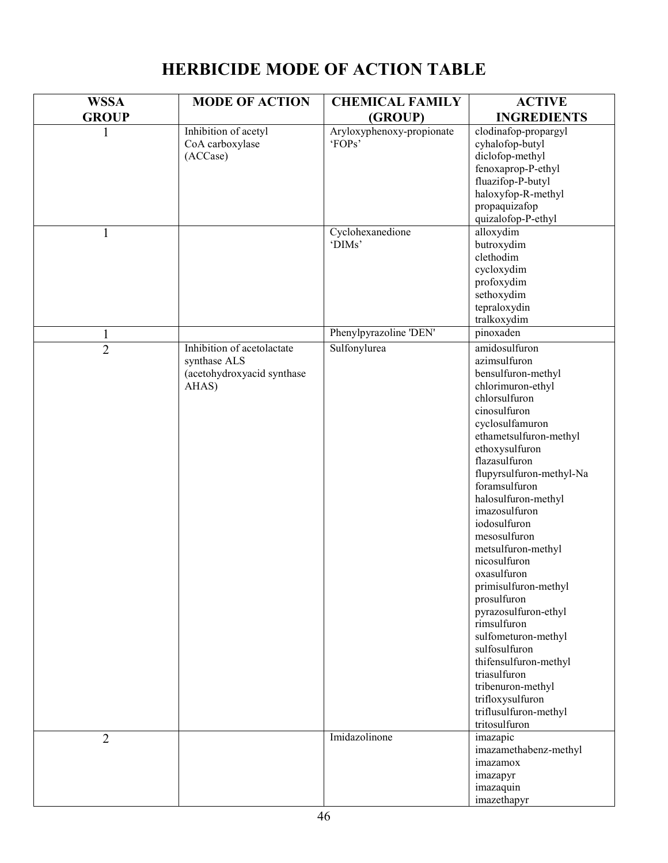| <b>WSSA</b>    | <b>MODE OF ACTION</b>                                                             | <b>CHEMICAL FAMILY</b>              | <b>ACTIVE</b>                                                                                                                                                                                                                                                                                                                                                                                                                                                                                                                                                                                                         |
|----------------|-----------------------------------------------------------------------------------|-------------------------------------|-----------------------------------------------------------------------------------------------------------------------------------------------------------------------------------------------------------------------------------------------------------------------------------------------------------------------------------------------------------------------------------------------------------------------------------------------------------------------------------------------------------------------------------------------------------------------------------------------------------------------|
| <b>GROUP</b>   |                                                                                   | (GROUP)                             | <b>INGREDIENTS</b>                                                                                                                                                                                                                                                                                                                                                                                                                                                                                                                                                                                                    |
| 1              | Inhibition of acetyl<br>CoA carboxylase<br>(ACCase)                               | Aryloxyphenoxy-propionate<br>'FOPs' | clodinafop-propargyl<br>cyhalofop-butyl<br>diclofop-methyl<br>fenoxaprop-P-ethyl<br>fluazifop-P-butyl<br>haloxyfop-R-methyl<br>propaquizafop<br>quizalofop-P-ethyl                                                                                                                                                                                                                                                                                                                                                                                                                                                    |
| $\mathbf{1}$   |                                                                                   | Cyclohexanedione<br>'DIMs'          | alloxydim<br>butroxydim<br>clethodim<br>cycloxydim<br>profoxydim<br>sethoxydim<br>tepraloxydin<br>tralkoxydim                                                                                                                                                                                                                                                                                                                                                                                                                                                                                                         |
| $\mathbf{1}$   |                                                                                   | Phenylpyrazoline 'DEN'              | pinoxaden                                                                                                                                                                                                                                                                                                                                                                                                                                                                                                                                                                                                             |
| $\overline{2}$ | Inhibition of acetolactate<br>synthase ALS<br>(acetohydroxyacid synthase<br>AHAS) | Sulfonylurea                        | amidosulfuron<br>azimsulfuron<br>bensulfuron-methyl<br>chlorimuron-ethyl<br>chlorsulfuron<br>cinosulfuron<br>cyclosulfamuron<br>ethametsulfuron-methyl<br>ethoxysulfuron<br>flazasulfuron<br>flupyrsulfuron-methyl-Na<br>foramsulfuron<br>halosulfuron-methyl<br>imazosulfuron<br>iodosulfuron<br>mesosulfuron<br>metsulfuron-methyl<br>nicosulfuron<br>oxasulfuron<br>primisulfuron-methyl<br>prosulfuron<br>pyrazosulfuron-ethyl<br>rimsulfuron<br>sulfometuron-methyl<br>sulfosulfuron<br>thifensulfuron-methyl<br>triasulfuron<br>tribenuron-methyl<br>trifloxysulfuron<br>triflusulfuron-methyl<br>tritosulfuron |
| $\overline{2}$ |                                                                                   | Imidazolinone                       | imazapic<br>imazamethabenz-methyl<br>imazamox<br>imazapyr<br>imazaquin<br>imazethapyr                                                                                                                                                                                                                                                                                                                                                                                                                                                                                                                                 |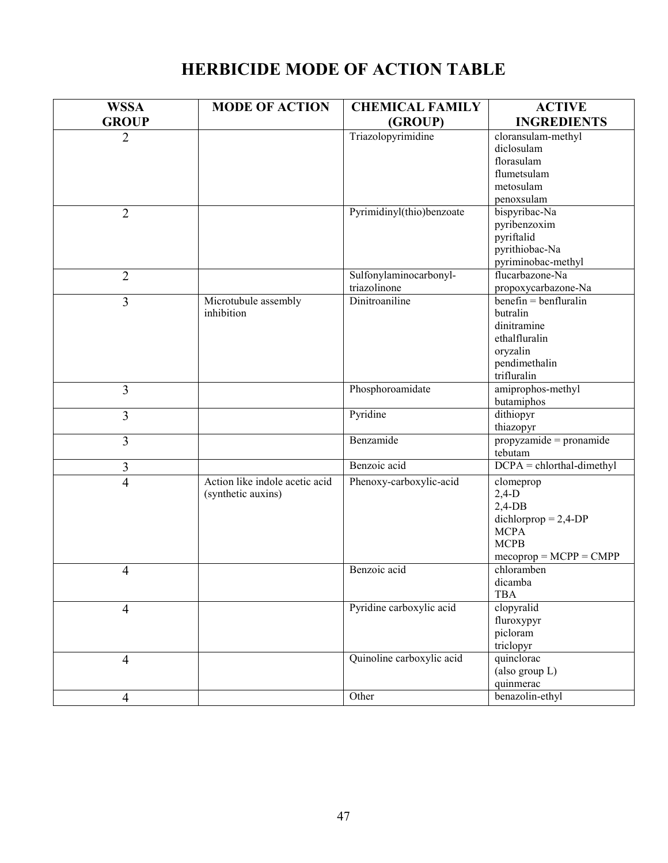| <b>WSSA</b>    | <b>MODE OF ACTION</b>          | <b>CHEMICAL FAMILY</b>                 | <b>ACTIVE</b>                                  |
|----------------|--------------------------------|----------------------------------------|------------------------------------------------|
| <b>GROUP</b>   |                                | (GROUP)                                | <b>INGREDIENTS</b>                             |
| $\overline{2}$ |                                | Triazolopyrimidine                     | cloransulam-methyl                             |
|                |                                |                                        | diclosulam                                     |
|                |                                |                                        | florasulam                                     |
|                |                                |                                        | flumetsulam                                    |
|                |                                |                                        | metosulam                                      |
|                |                                |                                        | penoxsulam                                     |
| $\overline{2}$ |                                | Pyrimidinyl(thio)benzoate              | bispyribac-Na                                  |
|                |                                |                                        | pyribenzoxim                                   |
|                |                                |                                        | pyriftalid                                     |
|                |                                |                                        | pyrithiobac-Na                                 |
|                |                                |                                        | pyriminobac-methyl<br>flucarbazone-Na          |
| $\overline{2}$ |                                | Sulfonylaminocarbonyl-<br>triazolinone |                                                |
|                | Microtubule assembly           | Dinitroaniline                         | propoxycarbazone-Na<br>$benefin = benfluralin$ |
| 3              | inhibition                     |                                        | butralin                                       |
|                |                                |                                        | dinitramine                                    |
|                |                                |                                        | ethalfluralin                                  |
|                |                                |                                        | oryzalin                                       |
|                |                                |                                        | pendimethalin                                  |
|                |                                |                                        | trifluralin                                    |
| $\overline{3}$ |                                | Phosphoroamidate                       | amiprophos-methyl                              |
|                |                                |                                        | butamiphos                                     |
| $\overline{3}$ |                                | Pyridine                               | dithiopyr                                      |
|                |                                |                                        | thiazopyr                                      |
| $\overline{3}$ |                                | Benzamide                              | propyzamide = pronamide                        |
|                |                                |                                        | tebutam                                        |
| 3              |                                | Benzoic acid                           | $DCPA = chlorthal-dimethyl$                    |
| $\overline{4}$ | Action like indole acetic acid | Phenoxy-carboxylic-acid                | clomeprop                                      |
|                | (synthetic auxins)             |                                        | $2,4-D$                                        |
|                |                                |                                        | $2,4$ -DB                                      |
|                |                                |                                        | $dichlorprop = 2,4-DP$                         |
|                |                                |                                        | <b>MCPA</b><br><b>MCPB</b>                     |
|                |                                |                                        | $mecoprop = MCPP = CMPP$                       |
| $\overline{4}$ |                                | Benzoic acid                           | chloramben                                     |
|                |                                |                                        | dicamba                                        |
|                |                                |                                        | <b>TBA</b>                                     |
| $\overline{4}$ |                                | Pyridine carboxylic acid               | clopyralid                                     |
|                |                                |                                        | fluroxypyr                                     |
|                |                                |                                        | picloram                                       |
|                |                                |                                        | triclopyr                                      |
| $\overline{4}$ |                                | Quinoline carboxylic acid              | quinclorac                                     |
|                |                                |                                        | (also group L)                                 |
|                |                                |                                        | quinmerac                                      |
| $\overline{4}$ |                                | Other                                  | benazolin-ethyl                                |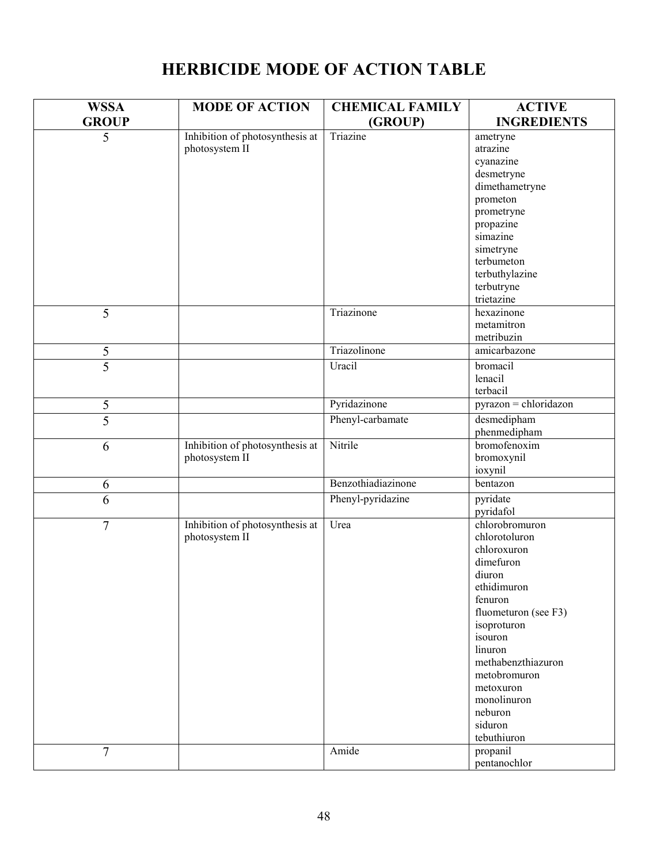| <b>WSSA</b>    | <b>MODE OF ACTION</b>           | <b>CHEMICAL FAMILY</b> | <b>ACTIVE</b>           |
|----------------|---------------------------------|------------------------|-------------------------|
| <b>GROUP</b>   |                                 | (GROUP)                | <b>INGREDIENTS</b>      |
| 5              | Inhibition of photosynthesis at | Triazine               | ametryne                |
|                | photosystem II                  |                        | atrazine                |
|                |                                 |                        | cyanazine               |
|                |                                 |                        | desmetryne              |
|                |                                 |                        | dimethametryne          |
|                |                                 |                        | prometon                |
|                |                                 |                        | prometryne              |
|                |                                 |                        | propazine               |
|                |                                 |                        | simazine                |
|                |                                 |                        | simetryne               |
|                |                                 |                        | terbumeton              |
|                |                                 |                        | terbuthylazine          |
|                |                                 |                        | terbutryne              |
|                |                                 |                        | trietazine              |
| 5              |                                 | Triazinone             | hexazinone              |
|                |                                 |                        | metamitron              |
|                |                                 |                        | metribuzin              |
| 5              |                                 | Triazolinone           | amicarbazone            |
| $\overline{5}$ |                                 | Uracil                 | bromacil                |
|                |                                 |                        | lenacil                 |
|                |                                 |                        | terbacil                |
| 5              |                                 | Pyridazinone           | $pyrazon = chloridazon$ |
| $\overline{5}$ |                                 | Phenyl-carbamate       | desmedipham             |
|                |                                 |                        | phenmedipham            |
| 6              | Inhibition of photosynthesis at | Nitrile                | bromofenoxim            |
|                | photosystem II                  |                        | bromoxynil              |
|                |                                 |                        | ioxynil                 |
| 6              |                                 | Benzothiadiazinone     | bentazon                |
| 6              |                                 | Phenyl-pyridazine      | pyridate<br>pyridafol   |
| 7              | Inhibition of photosynthesis at | Urea                   | chlorobromuron          |
|                | photosystem II                  |                        | chlorotoluron           |
|                |                                 |                        | chloroxuron             |
|                |                                 |                        | dimefuron               |
|                |                                 |                        | diuron                  |
|                |                                 |                        | ethidimuron             |
|                |                                 |                        | fenuron                 |
|                |                                 |                        | fluometuron (see F3)    |
|                |                                 |                        | isoproturon             |
|                |                                 |                        | isouron                 |
|                |                                 |                        | linuron                 |
|                |                                 |                        | methabenzthiazuron      |
|                |                                 |                        | metobromuron            |
|                |                                 |                        | metoxuron               |
|                |                                 |                        | monolinuron             |
|                |                                 |                        | neburon                 |
|                |                                 |                        | siduron                 |
|                |                                 |                        | tebuthiuron             |
| $\overline{7}$ |                                 | Amide                  | propanil                |
|                |                                 |                        | pentanochlor            |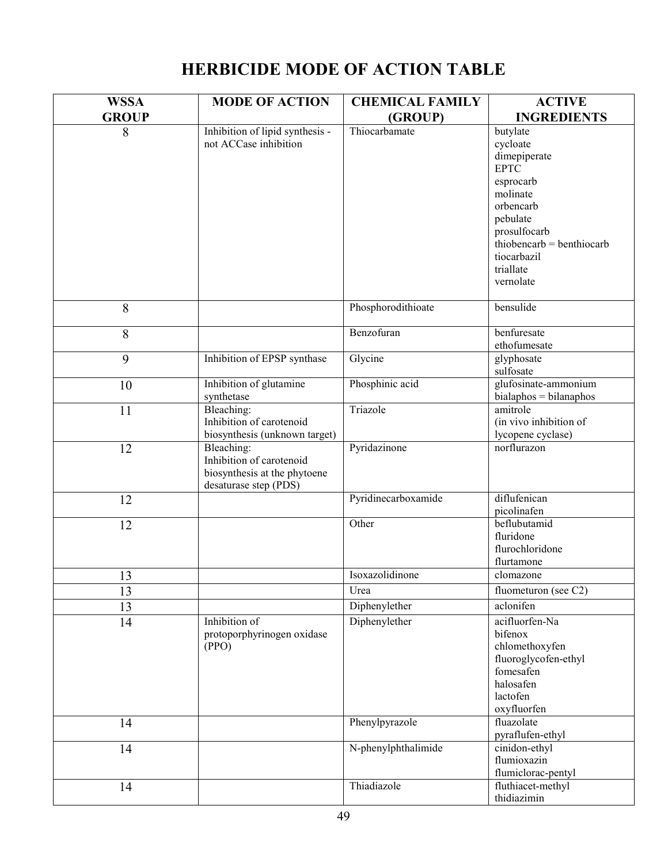| <b>WSSA</b>  | <b>MODE OF ACTION</b>                                                                           | <b>CHEMICAL FAMILY</b> | <b>ACTIVE</b>                                                                                                                                                                               |
|--------------|-------------------------------------------------------------------------------------------------|------------------------|---------------------------------------------------------------------------------------------------------------------------------------------------------------------------------------------|
| <b>GROUP</b> |                                                                                                 | (GROUP)                | <b>INGREDIENTS</b>                                                                                                                                                                          |
| 8            | Inhibition of lipid synthesis -<br>not ACCase inhibition                                        | Thiocarbamate          | butylate<br>cycloate<br>dimepiperate<br><b>EPTC</b><br>esprocarb<br>molinate<br>orbencarb<br>pebulate<br>prosulfocarb<br>thiobencarb = benthiocarb<br>tiocarbazil<br>triallate<br>vernolate |
| 8            |                                                                                                 | Phosphorodithioate     | bensulide                                                                                                                                                                                   |
| 8            |                                                                                                 | Benzofuran             | benfuresate<br>ethofumesate                                                                                                                                                                 |
| 9            | Inhibition of EPSP synthase                                                                     | Glycine                | glyphosate<br>sulfosate                                                                                                                                                                     |
| 10           | Inhibition of glutamine<br>synthetase                                                           | Phosphinic acid        | glufosinate-ammonium<br>$bialaphos = bilanaphos$                                                                                                                                            |
| 11           | Bleaching:<br>Inhibition of carotenoid<br>biosynthesis (unknown target)                         | Triazole               | amitrole<br>(in vivo inhibition of<br>lycopene cyclase)                                                                                                                                     |
| 12           | Bleaching:<br>Inhibition of carotenoid<br>biosynthesis at the phytoene<br>desaturase step (PDS) | Pyridazinone           | norflurazon                                                                                                                                                                                 |
| 12           |                                                                                                 | Pyridinecarboxamide    | diflufenican<br>picolinafen                                                                                                                                                                 |
| 12           |                                                                                                 | Other                  | beflubutamid<br>fluridone<br>flurochloridone<br>flurtamone                                                                                                                                  |
| 13           |                                                                                                 | Isoxazolidinone        | clomazone                                                                                                                                                                                   |
| 13           |                                                                                                 | Urea                   | fluometuron (see C2)                                                                                                                                                                        |
| 13           |                                                                                                 | Diphenylether          | aclonifen                                                                                                                                                                                   |
| 14           | Inhibition of<br>protoporphyrinogen oxidase<br>(PPO)                                            | Diphenylether          | acifluorfen-Na<br>bifenox<br>chlomethoxyfen<br>fluoroglycofen-ethyl<br>fomesafen<br>halosafen<br>lactofen<br>oxyfluorfen                                                                    |
| 14           |                                                                                                 | Phenylpyrazole         | fluazolate<br>pyraflufen-ethyl                                                                                                                                                              |
| 14           |                                                                                                 | N-phenylphthalimide    | cinidon-ethyl<br>flumioxazin<br>flumiclorac-pentyl                                                                                                                                          |
| 14           |                                                                                                 | Thiadiazole            | fluthiacet-methyl<br>thidiazimin                                                                                                                                                            |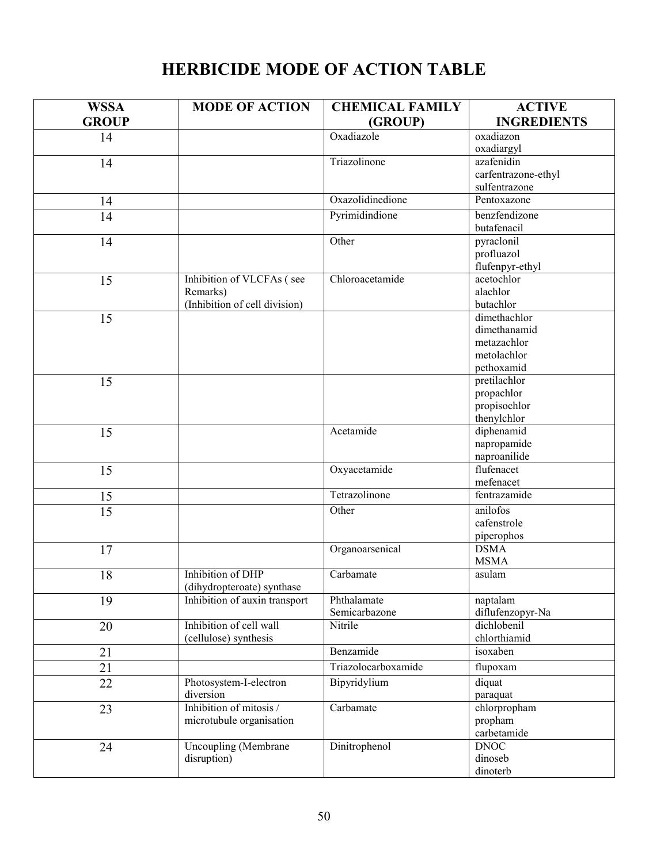| <b>WSSA</b>     | <b>MODE OF ACTION</b>                           | <b>CHEMICAL FAMILY</b> | <b>ACTIVE</b>         |
|-----------------|-------------------------------------------------|------------------------|-----------------------|
| <b>GROUP</b>    |                                                 | (GROUP)                | <b>INGREDIENTS</b>    |
| 14              |                                                 | Oxadiazole             | oxadiazon             |
|                 |                                                 |                        | oxadiargyl            |
| 14              |                                                 | Triazolinone           | azafenidin            |
|                 |                                                 |                        | carfentrazone-ethyl   |
|                 |                                                 |                        | sulfentrazone         |
| 14              |                                                 | Oxazolidinedione       | Pentoxazone           |
| 14              |                                                 | Pyrimidindione         | benzfendizone         |
|                 |                                                 |                        | butafenacil           |
| 14              |                                                 | Other                  | pyraclonil            |
|                 |                                                 |                        | profluazol            |
|                 |                                                 |                        | flufenpyr-ethyl       |
| 15              | Inhibition of VLCFAs (see                       | Chloroacetamide        | acetochlor            |
|                 | Remarks)                                        |                        | alachlor<br>butachlor |
|                 | (Inhibition of cell division)                   |                        | dimethachlor          |
| 15              |                                                 |                        | dimethanamid          |
|                 |                                                 |                        | metazachlor           |
|                 |                                                 |                        | metolachlor           |
|                 |                                                 |                        | pethoxamid            |
| 15              |                                                 |                        | pretilachlor          |
|                 |                                                 |                        | propachlor            |
|                 |                                                 |                        | propisochlor          |
|                 |                                                 |                        | thenylchlor           |
| 15              |                                                 | Acetamide              | diphenamid            |
|                 |                                                 |                        | napropamide           |
|                 |                                                 |                        | naproanilide          |
| 15              |                                                 | Oxyacetamide           | flufenacet            |
|                 |                                                 |                        | mefenacet             |
| 15              |                                                 | Tetrazolinone          | fentrazamide          |
| $\overline{15}$ |                                                 | Other                  | anilofos              |
|                 |                                                 |                        | cafenstrole           |
|                 |                                                 |                        | piperophos            |
| 17              |                                                 | Organoarsenical        | <b>DSMA</b>           |
|                 |                                                 |                        | <b>MSMA</b>           |
| 18              | Inhibition of DHP<br>(dihydropteroate) synthase | Carbamate              | asulam                |
| 19              | Inhibition of auxin transport                   | Phthalamate            | naptalam              |
|                 |                                                 | Semicarbazone          | diflufenzopyr-Na      |
| 20              | Inhibition of cell wall                         | Nitrile                | dichlobenil           |
|                 | (cellulose) synthesis                           |                        | chlorthiamid          |
| 21              |                                                 | Benzamide              | isoxaben              |
| $\overline{21}$ |                                                 | Triazolocarboxamide    | flupoxam              |
| $\overline{22}$ | Photosystem-I-electron                          | Bipyridylium           | diquat                |
|                 | diversion                                       |                        | paraquat              |
| 23              | Inhibition of mitosis /                         | Carbamate              | chlorpropham          |
|                 | microtubule organisation                        |                        | propham               |
|                 |                                                 |                        | carbetamide           |
| 24              | Uncoupling (Membrane                            | Dinitrophenol          | <b>DNOC</b>           |
|                 | disruption)                                     |                        | dinoseb               |
|                 |                                                 |                        | dinoterb              |